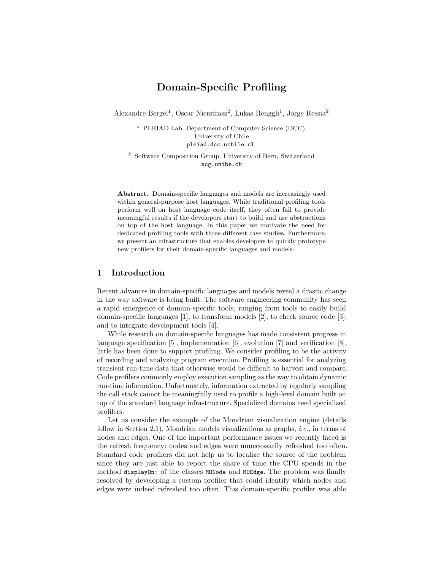# Domain-Specific Profiling

Alexandre Bergel<sup>1</sup>, Oscar Nierstrasz<sup>2</sup>, Lukas Renggli<sup>1</sup>, Jorge Ressia<sup>2</sup>

<sup>1</sup> PLEIAD Lab, Department of Computer Science (DCC), University of Chile [pleiad.dcc.uchile.cl](http://pleiad.dcc.uchile.cl/)

<sup>2</sup> Software Composition Group, University of Bern, Switzerland [scg.unibe.ch](http://scg.unibe.ch/)

Abstract. Domain-specific languages and models are increasingly used within general-purpose host languages. While traditional profiling tools perform well on host language code itself, they often fail to provide meaningful results if the developers start to build and use abstractions on top of the host language. In this paper we motivate the need for dedicated profiling tools with three different case studies. Furthermore, we present an infrastructure that enables developers to quickly prototype new profilers for their domain-specific languages and models.

# 1 Introduction

Recent advances in domain-specific languages and models reveal a drastic change in the way software is being built. The software engineering community has seen a rapid emergence of domain-specific tools, ranging from tools to easily build domain-specific languages [\[1\]](#page-13-0), to transform models [\[2\]](#page-13-1), to check source code [\[3\]](#page-13-2), and to integrate development tools [\[4\]](#page-13-3).

While research on domain-specific languages has made consistent progress in language specification [\[5\]](#page-13-4), implementation [\[6\]](#page-13-5), evolution [\[7\]](#page-13-6) and verification [\[8\]](#page-13-7), little has been done to support profiling. We consider profiling to be the activity of recording and analyzing program execution. Profiling is essential for analyzing transient run-time data that otherwise would be difficult to harvest and compare. Code profilers commonly employ execution sampling as the way to obtain dynamic run-time information. Unfortunately, information extracted by regularly sampling the call stack cannot be meaningfully used to profile a high-level domain built on top of the standard language infrastructure. Specialized domains need specialized profilers.

Let us consider the example of the Mondrian visualization engine (details follow in [Section 2.1\)](#page-1-0). Mondrian models visualizations as graphs, i.e., in terms of nodes and edges. One of the important performance issues we recently faced is the refresh frequency: nodes and edges were unnecessarily refreshed too often. Standard code profilers did not help us to localize the source of the problem since they are just able to report the share of time the CPU spends in the method displayOn: of the classes MONode and MOEdge. The problem was finally resolved by developing a custom profiler that could identify which nodes and edges were indeed refreshed too often. This domain-specific profiler was able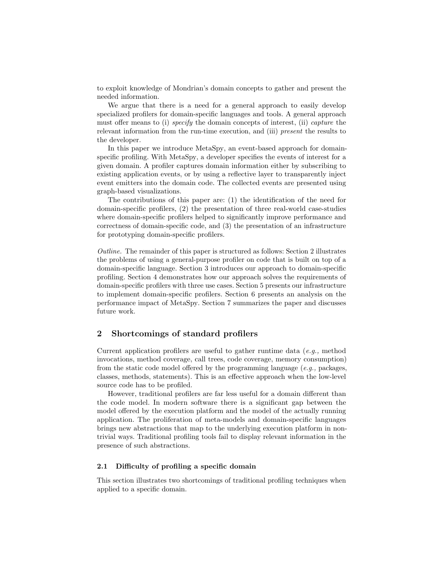to exploit knowledge of Mondrian's domain concepts to gather and present the needed information.

We argue that there is a need for a general approach to easily develop specialized profilers for domain-specific languages and tools. A general approach must offer means to (i) specify the domain concepts of interest, (ii) capture the relevant information from the run-time execution, and (iii) present the results to the developer.

In this paper we introduce MetaSpy, an event-based approach for domainspecific profiling. With MetaSpy, a developer specifies the events of interest for a given domain. A profiler captures domain information either by subscribing to existing application events, or by using a reflective layer to transparently inject event emitters into the domain code. The collected events are presented using graph-based visualizations.

The contributions of this paper are: (1) the identification of the need for domain-specific profilers, (2) the presentation of three real-world case-studies where domain-specific profilers helped to significantly improve performance and correctness of domain-specific code, and (3) the presentation of an infrastructure for prototyping domain-specific profilers.

Outline. The remainder of this paper is structured as follows: [Section 2](#page-1-1) illustrates the problems of using a general-purpose profiler on code that is built on top of a domain-specific language. [Section 3](#page-4-0) introduces our approach to domain-specific profiling. [Section 4](#page-5-0) demonstrates how our approach solves the requirements of domain-specific profilers with three use cases. [Section 5](#page-10-0) presents our infrastructure to implement domain-specific profilers. [Section 6](#page-11-0) presents an analysis on the performance impact of MetaSpy. [Section 7](#page-12-0) summarizes the paper and discusses future work.

### <span id="page-1-1"></span>2 Shortcomings of standard profilers

Current application profilers are useful to gather runtime data  $(e.g., \text{ method})$ invocations, method coverage, call trees, code coverage, memory consumption) from the static code model offered by the programming language  $(e.g.,$  packages, classes, methods, statements). This is an effective approach when the low-level source code has to be profiled.

However, traditional profilers are far less useful for a domain different than the code model. In modern software there is a significant gap between the model offered by the execution platform and the model of the actually running application. The proliferation of meta-models and domain-specific languages brings new abstractions that map to the underlying execution platform in nontrivial ways. Traditional profiling tools fail to display relevant information in the presence of such abstractions.

### <span id="page-1-0"></span>2.1 Difficulty of profiling a specific domain

This section illustrates two shortcomings of traditional profiling techniques when applied to a specific domain.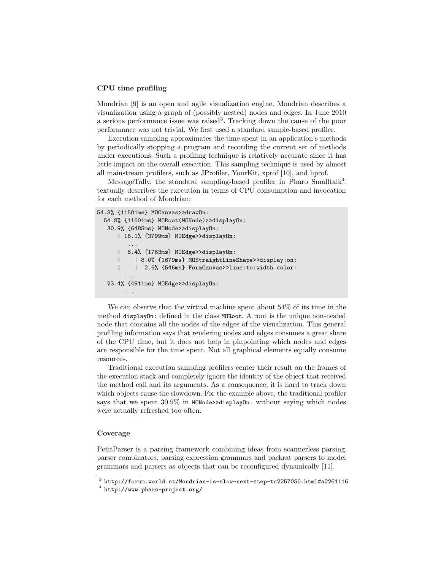#### CPU time profiling

Mondrian [\[9\]](#page-13-8) is an open and agile visualization engine. Mondrian describes a visualization using a graph of (possibly nested) nodes and edges. In June 2010 a serious performance issue was raised<sup>[3](#page-2-0)</sup>. Tracking down the cause of the poor performance was not trivial. We first used a standard sample-based profiler.

Execution sampling approximates the time spent in an application's methods by periodically stopping a program and recording the current set of methods under executions. Such a profiling technique is relatively accurate since it has little impact on the overall execution. This sampling technique is used by almost all mainstream profilers, such as JProfiler, YourKit, xprof [\[10\]](#page-13-9), and hprof.

MessageTally, the standard sampling-based profiler in Pharo Smalltalk<sup>[4](#page-2-1)</sup>, textually describes the execution in terms of CPU consumption and invocation for each method of Mondrian:

```
54.8% {11501ms} MOCanvas>>drawOn:
  54.8% {11501ms} MORoot(MONode)>>displayOn:
  30.9% {6485ms} MONode>>displayOn:
      | 18.1% {3799ms} MOEdge>>displayOn:
         ...
      | 8.4% {1763ms} MOEdge>>displayOn:
       | | 8.0% {1679ms} MOStraightLineShape>>display:on:
      | | 2.6% {546ms} FormCanvas>>line:to:width:color:
        ...
   23.4% {4911ms} MOEdge>>displayOn:
        ...
```
We can observe that the virtual machine spent about 54% of its time in the method displayOn: defined in the class MORoot. A root is the unique non-nested node that contains all the nodes of the edges of the visualization. This general profiling information says that rendering nodes and edges consumes a great share of the CPU time, but it does not help in pinpointing which nodes and edges are responsible for the time spent. Not all graphical elements equally consume resources.

Traditional execution sampling profilers center their result on the frames of the execution stack and completely ignore the identity of the object that received the method call and its arguments. As a consequence, it is hard to track down which objects cause the slowdown. For the example above, the traditional profiler says that we spent  $30.9\%$  in MONode>>displayOn: without saying which nodes were actually refreshed too often.

#### Coverage

PetitParser is a parsing framework combining ideas from scannerless parsing, parser combinators, parsing expression grammars and packrat parsers to model grammars and parsers as objects that can be reconfigured dynamically [\[11\]](#page-14-0).

<span id="page-2-0"></span> $^3$  <http://forum.world.st/Mondrian-is-slow-next-step-tc2257050.html#a2261116>

<span id="page-2-1"></span> $^4$  <http://www.pharo-project.org/>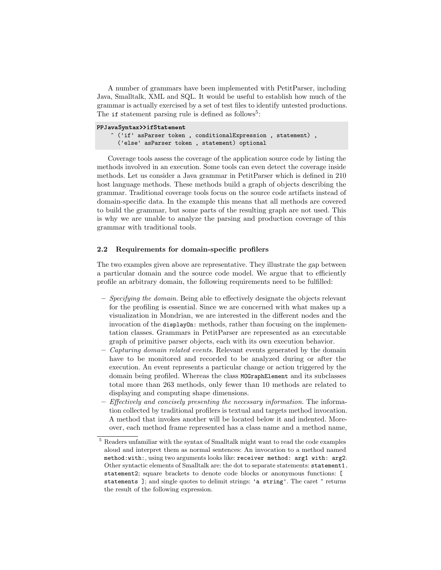A number of grammars have been implemented with PetitParser, including Java, Smalltalk, XML and SQL. It would be useful to establish how much of the grammar is actually exercised by a set of test files to identify untested productions. The if statement parsing rule is defined as follows<sup>[5](#page-3-0)</sup>:

```
PPJavaSyntax>>ifStatement
    ^ ('if' asParser token , conditionalExpression , statement) ,
      ('else' asParser token , statement) optional
```
Coverage tools assess the coverage of the application source code by listing the methods involved in an execution. Some tools can even detect the coverage inside methods. Let us consider a [Java grammar](http://www.squeaksource.com/PetitJava.html) in PetitParser which is defined in 210 host language methods. These methods build a graph of objects describing the grammar. Traditional coverage tools focus on the source code artifacts instead of domain-specific data. In the example this means that all methods are covered to build the grammar, but some parts of the resulting graph are not used. This is why we are unable to analyze the parsing and production coverage of this grammar with traditional tools.

### 2.2 Requirements for domain-specific profilers

The two examples given above are representative. They illustrate the gap between a particular domain and the source code model. We argue that to efficiently profile an arbitrary domain, the following requirements need to be fulfilled:

- $-$  Specifying the domain. Being able to effectively designate the objects relevant for the profiling is essential. Since we are concerned with what makes up a visualization in Mondrian, we are interested in the different nodes and the invocation of the displayOn: methods, rather than focusing on the implementation classes. Grammars in PetitParser are represented as an executable graph of primitive parser objects, each with its own execution behavior.
- $-$  Capturing domain related events. Relevant events generated by the domain have to be monitored and recorded to be analyzed during or after the execution. An event represents a particular change or action triggered by the domain being profiled. Whereas the class MOGraphElement and its subclasses total more than 263 methods, only fewer than 10 methods are related to displaying and computing shape dimensions.
- Effectively and concisely presenting the necessary information. The information collected by traditional profilers is textual and targets method invocation. A method that invokes another will be located below it and indented. Moreover, each method frame represented has a class name and a method name,

<span id="page-3-0"></span> $^5$  Readers unfamiliar with the syntax of Smalltalk might want to read the code examples aloud and interpret them as normal sentences: An invocation to a method named method:with:, using two arguments looks like: receiver method: arg1 with: arg2. Other syntactic elements of Smalltalk are: the dot to separate statements: statement1. statement2; square brackets to denote code blocks or anonymous functions: [ statements ]; and single quotes to delimit strings: 'a string'. The caret  $\hat{ }$  returns the result of the following expression.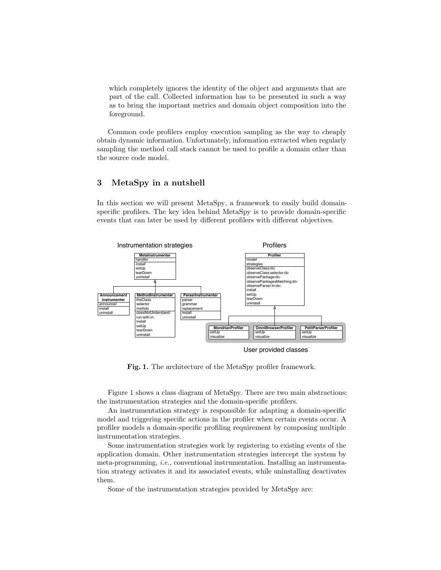which completely ignores the identity of the object and arguments that are part of the call. Collected information has to be presented in such a way as to bring the important metrics and domain object composition into the foreground.

Common code profilers employ execution sampling as the way to cheaply obtain dynamic information. Unfortunately, information extracted when regularly sampling the method call stack cannot be used to profile a domain other than the source code model.

### <span id="page-4-0"></span>3 MetaSpy in a nutshell

In this section we will present MetaSpy, a framework to easily build domainspecific profilers. The key idea behind MetaSpy is to provide domain-specific events that can later be used by different profilers with different objectives.



User provided classes

<span id="page-4-1"></span>Fig. 1. The architecture of the MetaSpy profiler framework.

[Figure 1](#page-4-1) shows a class diagram of MetaSpy. There are two main abstractions: the instrumentation strategies and the domain-specific profilers.

An instrumentation strategy is responsible for adapting a domain-specific model and triggering specific actions in the profiler when certain events occur. A profiler models a domain-specific profiling requirement by composing multiple instrumentation strategies.

Some instrumentation strategies work by registering to existing events of the application domain. Other instrumentation strategies intercept the system by meta-programming, i.e., conventional instrumentation. Installing an instrumentation strategy activates it and its associated events, while uninstalling deactivates them.

Some of the instrumentation strategies provided by MetaSpy are: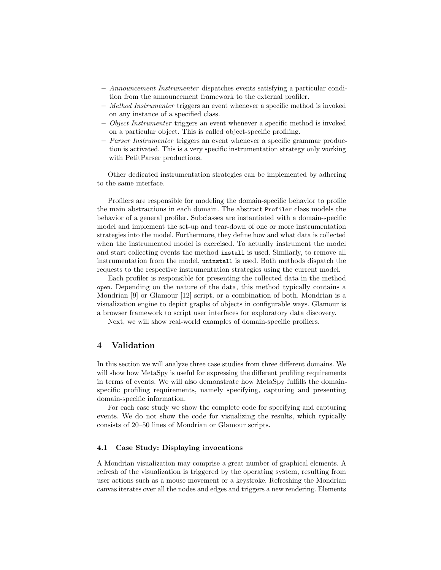- Announcement Instrumenter dispatches events satisfying a particular condition from the announcement framework to the external profiler.
- Method Instrumenter triggers an event whenever a specific method is invoked on any instance of a specified class.
- $-$  *Object Instrumenter* triggers an event whenever a specific method is invoked on a particular object. This is called object-specific profiling.
- Parser Instrumenter triggers an event whenever a specific grammar production is activated. This is a very specific instrumentation strategy only working with PetitParser productions.

Other dedicated instrumentation strategies can be implemented by adhering to the same interface.

Profilers are responsible for modeling the domain-specific behavior to profile the main abstractions in each domain. The abstract Profiler class models the behavior of a general profiler. Subclasses are instantiated with a domain-specific model and implement the set-up and tear-down of one or more instrumentation strategies into the model. Furthermore, they define how and what data is collected when the instrumented model is exercised. To actually instrument the model and start collecting events the method install is used. Similarly, to remove all instrumentation from the model, uninstall is used. Both methods dispatch the requests to the respective instrumentation strategies using the current model.

Each profiler is responsible for presenting the collected data in the method open. Depending on the nature of the data, this method typically contains a Mondrian [\[9\]](#page-13-8) or Glamour [\[12\]](#page-14-1) script, or a combination of both. Mondrian is a visualization engine to depict graphs of objects in configurable ways. Glamour is a browser framework to script user interfaces for exploratory data discovery.

Next, we will show real-world examples of domain-specific profilers.

### <span id="page-5-0"></span>4 Validation

In this section we will analyze three case studies from three different domains. We will show how MetaSpy is useful for expressing the different profiling requirements in terms of events. We will also demonstrate how MetaSpy fulfills the domainspecific profiling requirements, namely specifying, capturing and presenting domain-specific information.

For each case study we show the complete code for specifying and capturing events. We do not show the code for visualizing the results, which typically consists of 20–50 lines of Mondrian or Glamour scripts.

### 4.1 Case Study: Displaying invocations

A Mondrian visualization may comprise a great number of graphical elements. A refresh of the visualization is triggered by the operating system, resulting from user actions such as a mouse movement or a keystroke. Refreshing the Mondrian canvas iterates over all the nodes and edges and triggers a new rendering. Elements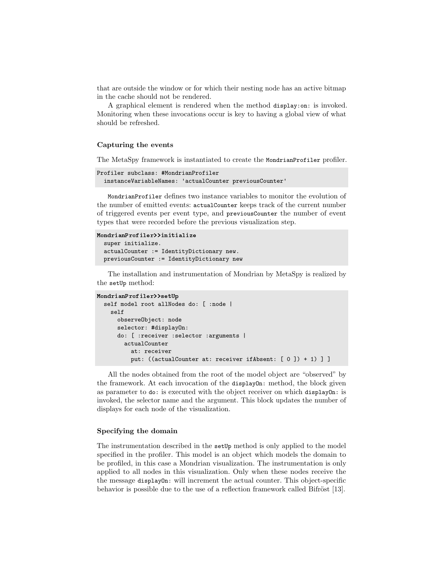that are outside the window or for which their nesting node has an active bitmap in the cache should not be rendered.

A graphical element is rendered when the method display:on: is invoked. Monitoring when these invocations occur is key to having a global view of what should be refreshed.

#### Capturing the events

The MetaSpy framework is instantiated to create the MondrianProfiler profiler.

```
Profiler subclass: #MondrianProfiler
  instanceVariableNames: 'actualCounter previousCounter'
```
MondrianProfiler defines two instance variables to monitor the evolution of the number of emitted events: actualCounter keeps track of the current number of triggered events per event type, and previousCounter the number of event types that were recorded before the previous visualization step.

```
MondrianProfiler>>initialize
  super initialize.
 actualCounter := IdentityDictionary new.
 previousCounter := IdentityDictionary new
```
The installation and instrumentation of Mondrian by MetaSpy is realized by the setUp method:

```
MondrianProfiler>>setUp
 self model root allNodes do: [ :node |
   self
      observeObject: node
      selector: #displayOn:
     do: [ :receiver :selector :arguments |
       actualCounter
          at: receiver
          put: ((actualCounter at: receiver ifAbsent: [ 0 ]) + 1) ] ]
```
All the nodes obtained from the root of the model object are "observed" by the framework. At each invocation of the displayOn: method, the block given as parameter to do: is executed with the object receiver on which displayOn: is invoked, the selector name and the argument. This block updates the number of displays for each node of the visualization.

#### Specifying the domain

The instrumentation described in the setup method is only applied to the model specified in the profiler. This model is an object which models the domain to be profiled, in this case a Mondrian visualization. The instrumentation is only applied to all nodes in this visualization. Only when these nodes receive the the message displayOn: will increment the actual counter. This object-specific behavior is possible due to the use of a reflection framework called Bifröst [\[13\]](#page-14-2).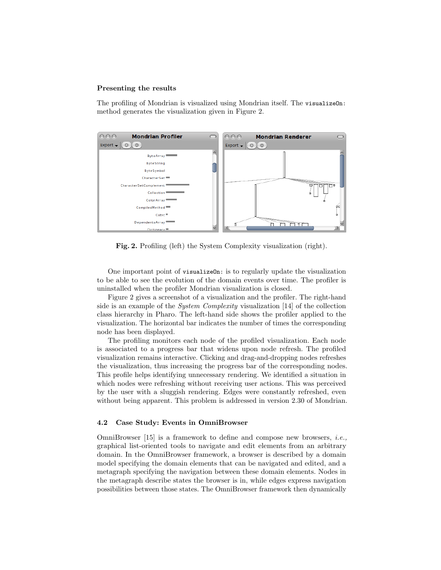#### Presenting the results

The profiling of Mondrian is visualized using Mondrian itself. The visualizeOn: method generates the visualization given in [Figure 2.](#page-7-0)



<span id="page-7-0"></span>Fig. 2. Profiling (left) the System Complexity visualization (right).

One important point of visualizeOn: is to regularly update the visualization to be able to see the evolution of the domain events over time. The profiler is uninstalled when the profiler Mondrian visualization is closed.

[Figure 2](#page-7-0) gives a screenshot of a visualization and the profiler. The right-hand side is an example of the System Complexity visualization [\[14\]](#page-14-3) of the collection class hierarchy in Pharo. The left-hand side shows the profiler applied to the visualization. The horizontal bar indicates the number of times the corresponding node has been displayed.

The profiling monitors each node of the profiled visualization. Each node is associated to a progress bar that widens upon node refresh. The profiled visualization remains interactive. Clicking and drag-and-dropping nodes refreshes the visualization, thus increasing the progress bar of the corresponding nodes. This profile helps identifying unnecessary rendering. We identified a situation in which nodes were refreshing without receiving user actions. This was perceived by the user with a sluggish rendering. Edges were constantly refreshed, even without being apparent. This problem is addressed in version 2.30 of Mondrian.

#### 4.2 Case Study: Events in OmniBrowser

OmniBrowser [\[15\]](#page-14-4) is a framework to define and compose new browsers, i.e., graphical list-oriented tools to navigate and edit elements from an arbitrary domain. In the OmniBrowser framework, a browser is described by a domain model specifying the domain elements that can be navigated and edited, and a metagraph specifying the navigation between these domain elements. Nodes in the metagraph describe states the browser is in, while edges express navigation possibilities between those states. The OmniBrowser framework then dynamically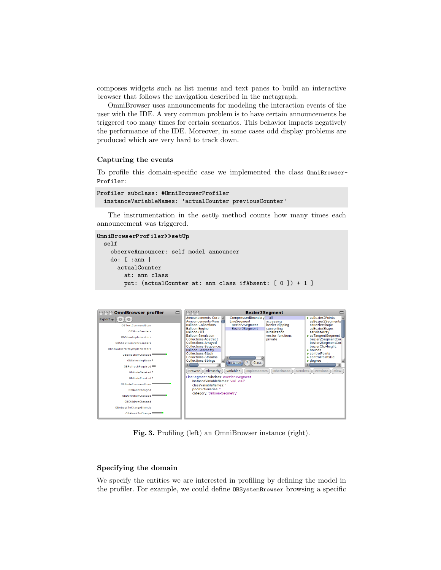composes widgets such as list menus and text panes to build an interactive browser that follows the navigation described in the metagraph.

OmniBrowser uses announcements for modeling the interaction events of the user with the IDE. A very common problem is to have certain announcements be triggered too many times for certain scenarios. This behavior impacts negatively the performance of the IDE. Moreover, in some cases odd display problems are produced which are very hard to track down.

#### Capturing the events

To profile this domain-specific case we implemented the class OmniBrowser-Profiler:

```
Profiler subclass: #OmniBrowserProfiler
  instanceVariableNames: 'actualCounter previousCounter'
```
The instrumentation in the setUp method counts how many times each announcement was triggered.

```
OmniBrowserProfiler>>setUp
 self
    observeAnnouncer: self model announcer
    do: [ :ann |
      actualCounter
       at: ann class
       put: (actualCounter at: ann class ifAbsent: [ 0 ]) + 1 ]
```


<span id="page-8-0"></span>Fig. 3. Profiling (left) an OmniBrowser instance (right).

#### Specifying the domain

We specify the entities we are interested in profiling by defining the model in the profiler. For example, we could define OBSystemBrowser browsing a specific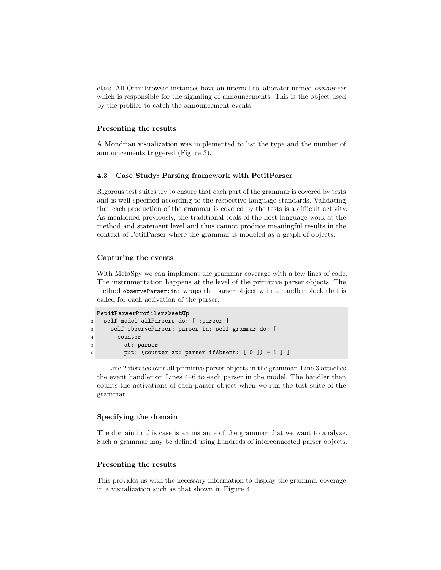class. All OmniBrowser instances have an internal collaborator named announcer which is responsible for the signaling of announcements. This is the object used by the profiler to catch the announcement events.

### Presenting the results

A Mondrian visualization was implemented to list the type and the number of announcements triggered [\(Figure 3\)](#page-8-0).

#### 4.3 Case Study: Parsing framework with PetitParser

Rigorous test suites try to ensure that each part of the grammar is covered by tests and is well-specified according to the respective language standards. Validating that each production of the grammar is covered by the tests is a difficult activity. As mentioned previously, the traditional tools of the host language work at the method and statement level and thus cannot produce meaningful results in the context of PetitParser where the grammar is modeled as a graph of objects.

### Capturing the events

With MetaSpy we can implement the grammar coverage with a few lines of code. The instrumentation happens at the level of the primitive parser objects. The method observeParser:in: wraps the parser object with a handler block that is called for each activation of the parser.

```
1 PetitParserProfiler>>setUp
2 self model allParsers do: [ :parser |
3 self observeParser: parser in: self grammar do: [
4 counter
5 at: parser
6 put: (counter at: parser ifAbsent: [ 0 ]) + 1 ] ]
```
Line 2 iterates over all primitive parser objects in the grammar. Line 3 attaches the event handler on Lines 4–6 to each parser in the model. The handler then counts the activations of each parser object when we run the test suite of the grammar.

#### Specifying the domain

The domain in this case is an instance of the grammar that we want to analyze. Such a grammar may be defined using hundreds of interconnected parser objects.

#### Presenting the results

This provides us with the necessary information to display the grammar coverage in a visualization such as that shown in [Figure 4.](#page-10-1)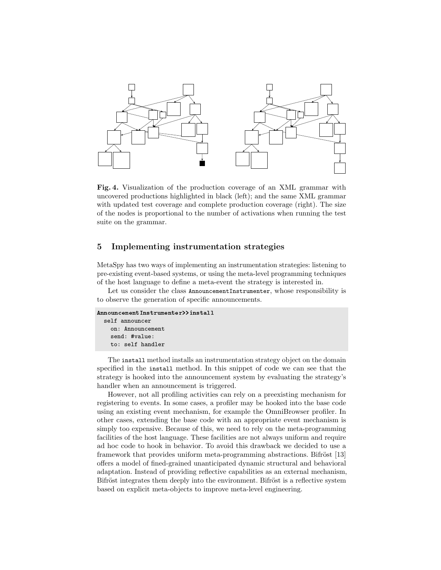

<span id="page-10-1"></span>Fig. 4. Visualization of the production coverage of an XML grammar with uncovered productions highlighted in black (left); and the same XML grammar with updated test coverage and complete production coverage (right). The size of the nodes is proportional to the number of activations when running the test suite on the grammar.

# <span id="page-10-0"></span>5 Implementing instrumentation strategies

MetaSpy has two ways of implementing an instrumentation strategies: listening to pre-existing event-based systems, or using the meta-level programming techniques of the host language to define a meta-event the strategy is interested in.

Let us consider the class AnnouncementInstrumenter, whose responsibility is to observe the generation of specific announcements.

```
AnnouncementInstrumenter>>install
 self announcer
    on: Announcement
    send: #value:
    to: self handler
```
The install method installs an instrumentation strategy object on the domain specified in the install method. In this snippet of code we can see that the strategy is hooked into the announcement system by evaluating the strategy's handler when an announcement is triggered.

However, not all profiling activities can rely on a preexisting mechanism for registering to events. In some cases, a profiler may be hooked into the base code using an existing event mechanism, for example the OmniBrowser profiler. In other cases, extending the base code with an appropriate event mechanism is simply too expensive. Because of this, we need to rely on the meta-programming facilities of the host language. These facilities are not always uniform and require ad hoc code to hook in behavior. To avoid this drawback we decided to use a framework that provides uniform meta-programming abstractions. Bifröst [\[13\]](#page-14-2) offers a model of fined-grained unanticipated dynamic structural and behavioral adaptation. Instead of providing reflective capabilities as an external mechanism, Bifröst integrates them deeply into the environment. Bifröst is a reflective system based on explicit meta-objects to improve meta-level engineering.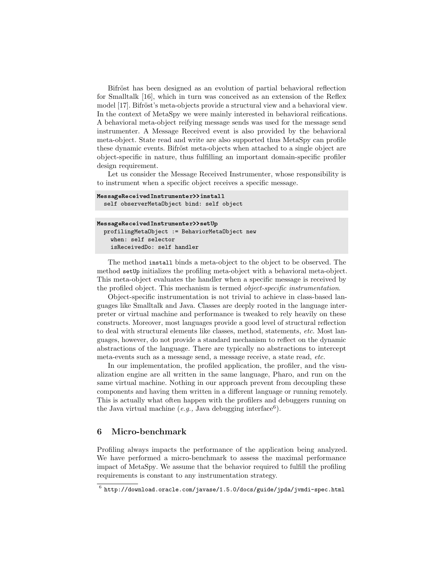Bifröst has been designed as an evolution of partial behavioral reflection for Smalltalk [\[16\]](#page-14-5), which in turn was conceived as an extension of the Reflex model [\[17\]](#page-14-6). Bifröst's meta-objects provide a structural view and a behavioral view. In the context of MetaSpy we were mainly interested in behavioral reifications. A behavioral meta-object reifying message sends was used for the message send instrumenter. A Message Received event is also provided by the behavioral meta-object. State read and write are also supported thus MetaSpy can profile these dynamic events. Bifröst meta-objects when attached to a single object are object-specific in nature, thus fulfilling an important domain-specific profiler design requirement.

Let us consider the Message Received Instrumenter, whose responsibility is to instrument when a specific object receives a specific message.

```
MessageReceivedInstrumenter>>install
  self observerMetaObject bind: self object
```

```
MessageReceivedInstrumenter>>setUp
 profilingMetaObject := BehaviorMetaObject new
    when: self selector
    isReceivedDo: self handler
```
The method install binds a meta-object to the object to be observed. The method setUp initializes the profiling meta-object with a behavioral meta-object. This meta-object evaluates the handler when a specific message is received by the profiled object. This mechanism is termed object-specific instrumentation.

Object-specific instrumentation is not trivial to achieve in class-based languages like Smalltalk and Java. Classes are deeply rooted in the language interpreter or virtual machine and performance is tweaked to rely heavily on these constructs. Moreover, most languages provide a good level of structural reflection to deal with structural elements like classes, method, statements, etc. Most languages, however, do not provide a standard mechanism to reflect on the dynamic abstractions of the language. There are typically no abstractions to intercept meta-events such as a message send, a message receive, a state read, etc.

In our implementation, the profiled application, the profiler, and the visualization engine are all written in the same language, Pharo, and run on the same virtual machine. Nothing in our approach prevent from decoupling these components and having them written in a different language or running remotely. This is actually what often happen with the profilers and debuggers running on the Java virtual machine  $(e.g., \text{ Java debugging interface}^6)$  $(e.g., \text{ Java debugging interface}^6)$  $(e.g., \text{ Java debugging interface}^6)$ .

# <span id="page-11-0"></span>6 Micro-benchmark

Profiling always impacts the performance of the application being analyzed. We have performed a micro-benchmark to assess the maximal performance impact of MetaSpy. We assume that the behavior required to fulfill the profiling requirements is constant to any instrumentation strategy.

<span id="page-11-1"></span> $^6$  <http://download.oracle.com/javase/1.5.0/docs/guide/jpda/jvmdi-spec.html>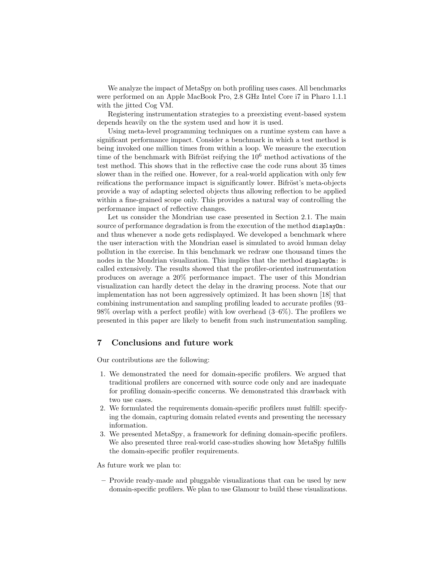We analyze the impact of MetaSpy on both profiling uses cases. All benchmarks were performed on an Apple MacBook Pro, 2.8 GHz Intel Core i7 in Pharo 1.1.1 with the jitted Cog VM.

Registering instrumentation strategies to a preexisting event-based system depends heavily on the the system used and how it is used.

Using meta-level programming techniques on a runtime system can have a significant performance impact. Consider a benchmark in which a test method is being invoked one million times from within a loop. We measure the execution time of the benchmark with Bifröst reifying the  $10^6$  method activations of the test method. This shows that in the reflective case the code runs about 35 times slower than in the reified one. However, for a real-world application with only few reifications the performance impact is significantly lower. Bifrost's meta-objects provide a way of adapting selected objects thus allowing reflection to be applied within a fine-grained scope only. This provides a natural way of controlling the performance impact of reflective changes.

Let us consider the Mondrian use case presented in [Section 2.1.](#page-1-0) The main source of performance degradation is from the execution of the method displayOn: and thus whenever a node gets redisplayed. We developed a benchmark where the user interaction with the Mondrian easel is simulated to avoid human delay pollution in the exercise. In this benchmark we redraw one thousand times the nodes in the Mondrian visualization. This implies that the method displayOn: is called extensively. The results showed that the profiler-oriented instrumentation produces on average a 20% performance impact. The user of this Mondrian visualization can hardly detect the delay in the drawing process. Note that our implementation has not been aggressively optimized. It has been shown [\[18\]](#page-14-7) that combining instrumentation and sampling profiling leaded to accurate profiles (93– 98% overlap with a perfect profile) with low overhead (3–6%). The profilers we presented in this paper are likely to benefit from such instrumentation sampling.

# <span id="page-12-0"></span>7 Conclusions and future work

Our contributions are the following:

- 1. We demonstrated the need for domain-specific profilers. We argued that traditional profilers are concerned with source code only and are inadequate for profiling domain-specific concerns. We demonstrated this drawback with two use cases.
- 2. We formulated the requirements domain-specific profilers must fulfill: specifying the domain, capturing domain related events and presenting the necessary information.
- 3. We presented MetaSpy, a framework for defining domain-specific profilers. We also presented three real-world case-studies showing how MetaSpy fulfills the domain-specific profiler requirements.

As future work we plan to:

– Provide ready-made and pluggable visualizations that can be used by new domain-specific profilers. We plan to use Glamour to build these visualizations.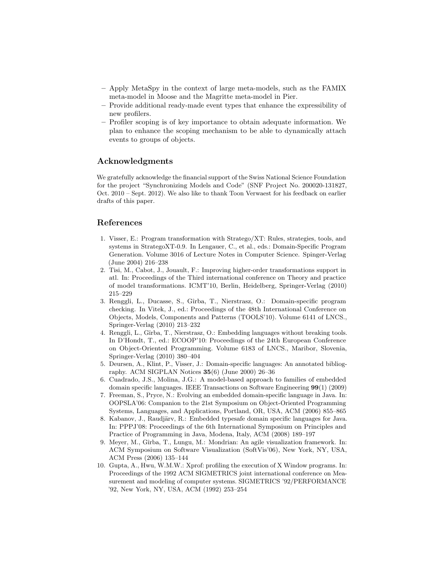- Apply MetaSpy in the context of large meta-models, such as the FAMIX meta-model in Moose and the Magritte meta-model in Pier.
- Provide additional ready-made event types that enhance the expressibility of new profilers.
- Profiler scoping is of key importance to obtain adequate information. We plan to enhance the scoping mechanism to be able to dynamically attach events to groups of objects.

### Acknowledgments

We gratefully acknowledge the financial support of the Swiss National Science Foundation for the project "Synchronizing Models and Code" (SNF Project No. 200020-131827, Oct. 2010 – Sept. 2012). We also like to thank Toon Verwaest for his feedback on earlier drafts of this paper.

### References

- <span id="page-13-0"></span>1. Visser, E.: Program transformation with Stratego/XT: Rules, strategies, tools, and systems in StrategoXT-0.9. In Lengauer, C., et al., eds.: Domain-Specific Program Generation. Volume 3016 of Lecture Notes in Computer Science. Spinger-Verlag (June 2004) 216–238
- <span id="page-13-1"></span>2. Tisi, M., Cabot, J., Jouault, F.: Improving higher-order transformations support in atl. In: Proceedings of the Third international conference on Theory and practice of model transformations. ICMT'10, Berlin, Heidelberg, Springer-Verlag (2010) 215–229
- <span id="page-13-2"></span>3. Renggli, L., Ducasse, S., Gˆırba, T., Nierstrasz, O.: Domain-specific program checking. In Vitek, J., ed.: Proceedings of the 48th International Conference on Objects, Models, Components and Patterns (TOOLS'10). Volume 6141 of LNCS., Springer-Verlag (2010) 213–232
- <span id="page-13-3"></span>4. Renggli, L., Gîrba, T., Nierstrasz, O.: Embedding languages without breaking tools. In D'Hondt, T., ed.: ECOOP'10: Proceedings of the 24th European Conference on Object-Oriented Programming. Volume 6183 of LNCS., Maribor, Slovenia, Springer-Verlag (2010) 380–404
- <span id="page-13-4"></span>5. Deursen, A., Klint, P., Visser, J.: Domain-specific languages: An annotated bibliography. ACM SIGPLAN Notices 35(6) (June 2000) 26–36
- <span id="page-13-5"></span>6. Cuadrado, J.S., Molina, J.G.: A model-based approach to families of embedded domain specific languages. IEEE Transactions on Software Engineering 99(1) (2009)
- <span id="page-13-6"></span>7. Freeman, S., Pryce, N.: Evolving an embedded domain-specific language in Java. In: OOPSLA'06: Companion to the 21st Symposium on Object-Oriented Programming Systems, Languages, and Applications, Portland, OR, USA, ACM (2006) 855–865
- <span id="page-13-7"></span>8. Kabanov, J., Raudjärv, R.: Embedded typesafe domain specific languages for Java. In: PPPJ'08: Proceedings of the 6th International Symposium on Principles and Practice of Programming in Java, Modena, Italy, ACM (2008) 189–197
- <span id="page-13-8"></span>9. Meyer, M., Gîrba, T., Lungu, M.: Mondrian: An agile visualization framework. In: ACM Symposium on Software Visualization (SoftVis'06), New York, NY, USA, ACM Press (2006) 135–144
- <span id="page-13-9"></span>10. Gupta, A., Hwu, W.M.W.: Xprof: profiling the execution of X Window programs. In: Proceedings of the 1992 ACM SIGMETRICS joint international conference on Measurement and modeling of computer systems. SIGMETRICS '92/PERFORMANCE '92, New York, NY, USA, ACM (1992) 253–254